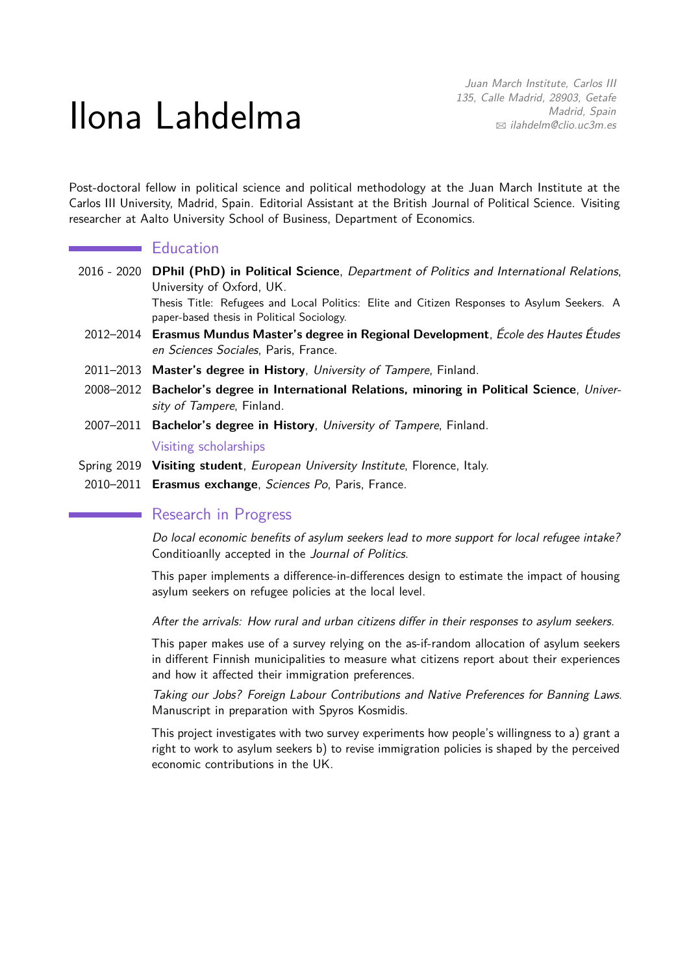# Ilona Lahdelma

Juan March Institute, Carlos III 135, Calle Madrid, 28903, Getafe Madrid, Spain B [ilahdelm@clio.uc3m.es](mailto:ilahdelm@clio.uc3m.es)

Post-doctoral fellow in political science and political methodology at the Juan March Institute at the Carlos III University, Madrid, Spain. Editorial Assistant at the British Journal of Political Science. Visiting researcher at Aalto University School of Business, Department of Economics.

# **Education**

2016 - 2020 **DPhil (PhD) in Political Science**, Department of Politics and International Relations, University of Oxford, UK.

Thesis Title: Refugees and Local Politics: Elite and Citizen Responses to Asylum Seekers. A paper-based thesis in Political Sociology.

- 2012–2014 **Erasmus Mundus Master's degree in Regional Development**, École des Hautes Études en Sciences Sociales, Paris, France.
- 2011–2013 **Master's degree in History**, University of Tampere, Finland.
- 2008–2012 **Bachelor's degree in International Relations, minoring in Political Science**, University of Tampere, Finland.
- 2007–2011 **Bachelor's degree in History**, University of Tampere, Finland.

## Visiting scholarships

- Spring 2019 **Visiting student**, European University Institute, Florence, Italy.
- 2010–2011 **Erasmus exchange**, Sciences Po, Paris, France.

# Research in Progress

Do local economic benefits of asylum seekers lead to more support for local refugee intake? Conditioanlly accepted in the Journal of Politics.

This paper implements a difference-in-differences design to estimate the impact of housing asylum seekers on refugee policies at the local level.

After the arrivals: How rural and urban citizens differ in their responses to asylum seekers.

This paper makes use of a survey relying on the as-if-random allocation of asylum seekers in different Finnish municipalities to measure what citizens report about their experiences and how it affected their immigration preferences.

Taking our Jobs? Foreign Labour Contributions and Native Preferences for Banning Laws. Manuscript in preparation with Spyros Kosmidis.

This project investigates with two survey experiments how people's willingness to a) grant a right to work to asylum seekers b) to revise immigration policies is shaped by the perceived economic contributions in the UK.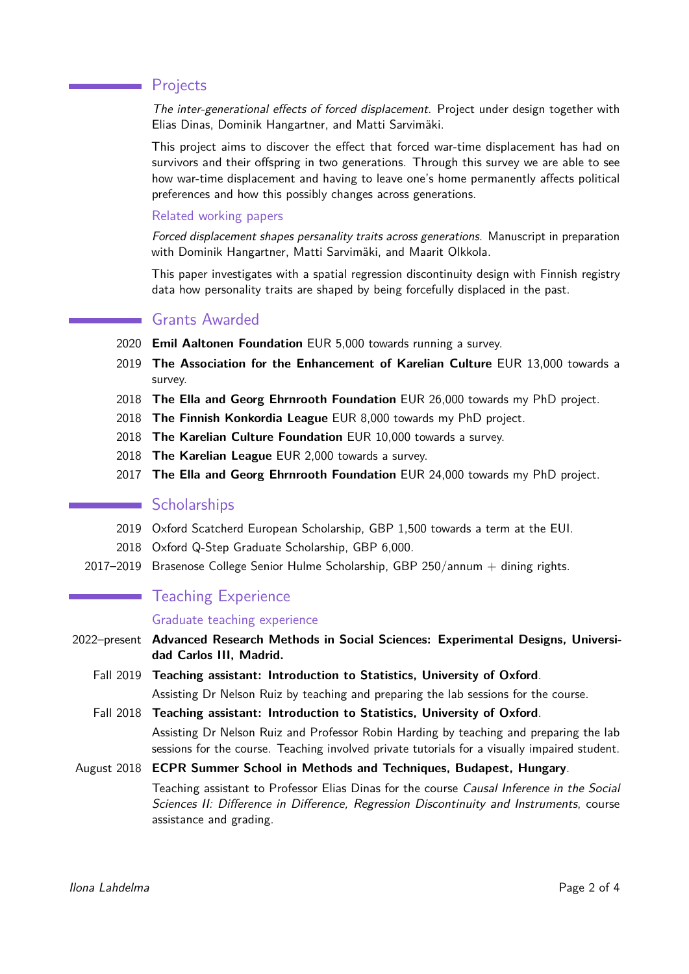# Projects

The inter-generational effects of forced displacement. Project under design together with Elias Dinas, Dominik Hangartner, and Matti Sarvimäki.

This project aims to discover the effect that forced war-time displacement has had on survivors and their offspring in two generations. Through this survey we are able to see how war-time displacement and having to leave one's home permanently affects political preferences and how this possibly changes across generations.

#### Related working papers

Forced displacement shapes persanality traits across generations. Manuscript in preparation with Dominik Hangartner, Matti Sarvimäki, and Maarit Olkkola.

This paper investigates with a spatial regression discontinuity design with Finnish registry data how personality traits are shaped by being forcefully displaced in the past.

# Grants Awarded

- 2020 **Emil Aaltonen Foundation** EUR 5,000 towards running a survey.
- 2019 **The Association for the Enhancement of Karelian Culture** EUR 13,000 towards a survey.
- 2018 **The Ella and Georg Ehrnrooth Foundation** EUR 26,000 towards my PhD project.
- 2018 **The Finnish Konkordia League** EUR 8,000 towards my PhD project.
- 2018 **The Karelian Culture Foundation** EUR 10,000 towards a survey.
- 2018 **The Karelian League** EUR 2,000 towards a survey.
- 2017 **The Ella and Georg Ehrnrooth Foundation** EUR 24,000 towards my PhD project.

## Scholarships

- 2019 Oxford Scatcherd European Scholarship, GBP 1,500 towards a term at the EUI.
- 2018 Oxford Q-Step Graduate Scholarship, GBP 6,000.
- 2017–2019 Brasenose College Senior Hulme Scholarship, GBP 250/annum  $+$  dining rights.

# Teaching Experience

#### Graduate teaching experience

2022–present **Advanced Research Methods in Social Sciences: Experimental Designs, Universidad Carlos III, Madrid.**

- Fall 2019 **Teaching assistant: Introduction to Statistics, University of Oxford**. Assisting Dr Nelson Ruiz by teaching and preparing the lab sessions for the course.
- Fall 2018 **Teaching assistant: Introduction to Statistics, University of Oxford**. Assisting Dr Nelson Ruiz and Professor Robin Harding by teaching and preparing the lab sessions for the course. Teaching involved private tutorials for a visually impaired student.

#### August 2018 **ECPR Summer School in Methods and Techniques, Budapest, Hungary**.

Teaching assistant to Professor Elias Dinas for the course Causal Inference in the Social Sciences II: Difference in Difference, Regression Discontinuity and Instruments, course assistance and grading.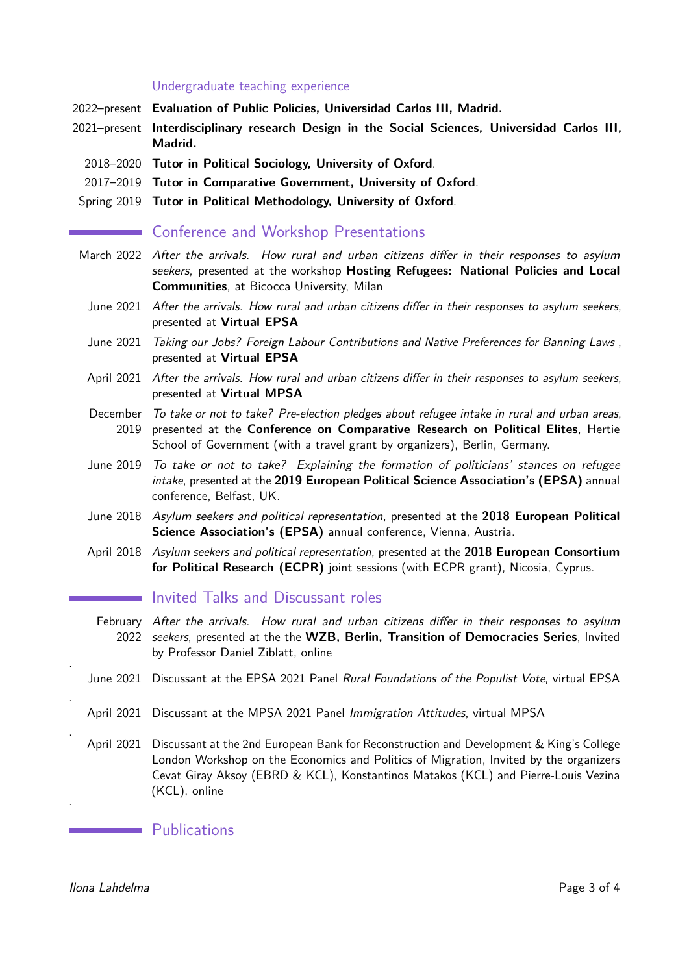#### Undergraduate teaching experience

- 2022–present **Evaluation of Public Policies, Universidad Carlos III, Madrid.**
- 2021–present **Interdisciplinary research Design in the Social Sciences, Universidad Carlos III, Madrid.**
	- 2018–2020 **Tutor in Political Sociology, University of Oxford**.
	- 2017–2019 **Tutor in Comparative Government, University of Oxford**.
- Spring 2019 **Tutor in Political Methodology, University of Oxford**.

# **Example 20 Conference and Workshop Presentations**

- March 2022 After the arrivals. How rural and urban citizens differ in their responses to asylum seekers, presented at the workshop **Hosting Refugees: National Policies and Local Communities**, at Bicocca University, Milan
	- June 2021 After the arrivals. How rural and urban citizens differ in their responses to asylum seekers, presented at **Virtual EPSA**
	- June 2021 Taking our Jobs? Foreign Labour Contributions and Native Preferences for Banning Laws , presented at **Virtual EPSA**
	- April 2021 After the arrivals. How rural and urban citizens differ in their responses to asylum seekers, presented at **Virtual MPSA**
	- December To take or not to take? Pre-election pledges about refugee intake in rural and urban areas, 2019 presented at the **Conference on Comparative Research on Political Elites**, Hertie School of Government (with a travel grant by organizers), Berlin, Germany.
	- June 2019 To take or not to take? Explaining the formation of politicians' stances on refugee intake, presented at the **2019 European Political Science Association's (EPSA)** annual conference, Belfast, UK.
	- June 2018 Asylum seekers and political representation, presented at the **2018 European Political Science Association's (EPSA)** annual conference, Vienna, Austria.
	- April 2018 Asylum seekers and political representation, presented at the **2018 European Consortium for Political Research (ECPR)** joint sessions (with ECPR grant), Nicosia, Cyprus.

# Invited Talks and Discussant roles

- February After the arrivals. How rural and urban citizens differ in their responses to asylum 2022 seekers, presented at the the **WZB, Berlin, Transition of Democracies Series**, Invited by Professor Daniel Ziblatt, online
- June 2021 Discussant at the EPSA 2021 Panel Rural Foundations of the Populist Vote, virtual EPSA
- April 2021 Discussant at the MPSA 2021 Panel Immigration Attitudes, virtual MPSA
- April 2021 Discussant at the 2nd European Bank for Reconstruction and Development & King's College London Workshop on the Economics and Politics of Migration, Invited by the organizers Cevat Giray Aksoy (EBRD & KCL), Konstantinos Matakos (KCL) and Pierre-Louis Vezina (KCL), online

**Example 1** Publications

Ilona Lahdelma **Page 3 of [4](#page-3-0)** and 2011 12 and 2012 12 and 2012 12 and 2012 12 and 2012 12 and 2012 12 and 2012 12 and 2012 12 and 2012 12 and 2012 12 and 2012 12 and 2012 12 and 2012 12 and 2012 12 and 2012 12 and 2012 12 a

.

.

.

.